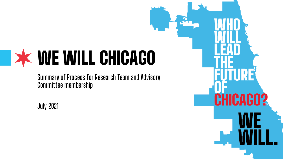# WE WILL CHICAGO

**Summary of Process for Research Team and Advisory Committee membership**

**July 2021**

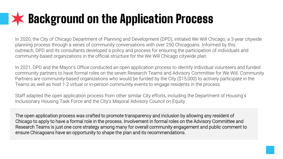### **XX Background on the Application Process**

In 2020, the City of Chicago Department of Planning and Development (DPD), initiated We Will Chicago, a 3-year citywide planning process through a series of community conversations with over 250 Chicagoans. Informed by this outreach, DPD and its consultants developed a policy and process for ensuring the participation of individuals and community-based organizations in the official structure for the We Will Chicago citywide plan.

In 2021, DPD and the Mayor's Office conducted an open application process to identify individual volunteers and funded community partners to have formal roles on the seven Research Teams and Advisory Committee for We Will. Community Partners are community-based organizations who would be funded by the City (\$15,000) to actively participate in the Teams as well as host 1-2 virtual or in-person community events to engage residents in the process.

Staff adapted the open application process from other similar City efforts, including the Department of Housing's Inclusionary Housing Task Force and the City's Mayoral Advisory Council on Equity.

The open application process was crafted to promote transparency and inclusion by allowing any resident of Chicago to apply to have a formal role in the process. Involvement in formal roles on the Advisory Committee and Research Teams is just one core strategy among many for overall community engagement and public comment to ensure Chicagoans have an opportunity to shape the plan and its recommendations.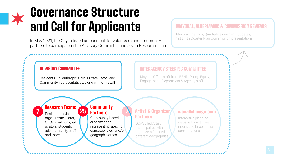### Governance Structure and Call for Applicants

In May 2021, the City initiated an open call for volunteers and community partners to participate in the Advisory Committee and seven Research Teams

#### MAYORAL, ALDERMANIC & COMMISSION REVIEWS

Mayoral Briefings, Quarterly aldermanic updates, 1st & 4th Quarter Plan Commission presentations

#### ADVISORY COMMITTEE

Residents, Philanthropic, Civic, Private Sector and Community representatives, along with City staff

25

#### INTERAGENCY STEERING COMMITTEE

Mayor's Office staff from BEND, Policy, Equity, Engagement, Department & Agency staff

**7 Research Teams 25 Community**<br>Residents civic Residents, civic orgs, private sector, CBOs, coalitions, ed ucators, students, advocates, city staff and more

### **Partners**

7 Community-based organizations representing specific constituencies and/or geographic areas

#### Artist & Organizer **Partners**

DCASE led Artist teams paired with organizers focused in different geographies

#### wewillchicago.com

Interactive planning website for activities, inputs and large public conversations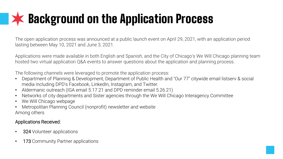## **XX Background on the Application Process**

The open application process was announced at a public launch event on April 29, 2021, with an application period lasting between May 10, 2021 and June 3, 2021.

Applications were made available in both English and Spanish, and the City of Chicago's We Will Chicago planning team hosted two virtual application Q&A events to answer questions about the application and planning process.

The following channels were leveraged to promote the application process:

- Department of Planning & Development, Department of Public Health and "Our 77" citywide email listserv & social media including DPD's Facebook, LinkedIn, Instagram, and Twitter.
- Aldermanic outreach (IGA email 5.17.21 and DPD reminder email 5.26.21)
- Networks of city departments and Sister agencies through the We Will Chicago Interagency Committee
- We Will Chicago webpage
- Metropolitan Planning Council (nonprofit) newsletter and website Among others

#### Applications Received:

- 324 Volunteer applications
- 173 Community Partner applications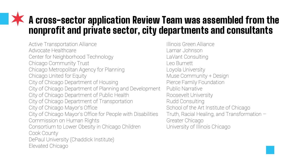### A cross-sector application Review Team was assembled from the nonprofit and private sector, city departments and consultants

Active Transportation Alliance Advocate Healthcare Center for Neighborhood Technology Chicago Community Trust Chicago Metropolitan Agency for Planning Chicago United for Equity City of Chicago Department of Housing City of Chicago Department of Planning and Development City of Chicago Department of Public Health City of Chicago Department of Transportation City of Chicago Mayor's Office City of Chicago Mayor's Office for People with Disabilities Commission on Human Rights Consortium to Lower Obesity in Chicago Children Cook County DePaul University (Chaddick Institute) Elevated Chicago

Illinois Green Alliance Lamar Johnson LaVant Consulting Leo Burnett Loyola University Muse Community + Design Pierce Family Foundation Public Narrative Roosevelt University Rudd Consulting School of the Art Institute of Chicago Truth, Racial Healing, and Transformation – Greater Chicago University of Illinois Chicago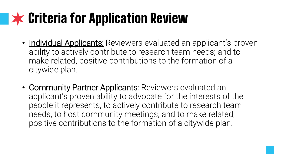## **XX Criteria for Application Review**

- Individual Applicants: Reviewers evaluated an applicant's proven ability to actively contribute to research team needs; and to make related, positive contributions to the formation of a citywide plan.
- Community Partner Applicants: Reviewers evaluated an applicant's proven ability to advocate for the interests of the people it represents; to actively contribute to research team needs; to host community meetings; and to make related, positive contributions to the formation of a citywide plan.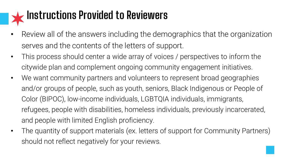### **Instructions Provided to Reviewers**

- Review all of the answers including the demographics that the organization serves and the contents of the letters of support.
- This process should center a wide array of voices / perspectives to inform the citywide plan and complement ongoing community engagement initiatives.
- We want community partners and volunteers to represent broad geographies and/or groups of people, such as youth, seniors, Black Indigenous or People of Color (BIPOC), low-income individuals, LGBTQIA individuals, immigrants, refugees, people with disabilities, homeless individuals, previously incarcerated, and people with limited English proficiency.
- The quantity of support materials (ex. letters of support for Community Partners) should not reflect negatively for your reviews.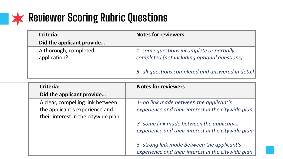### **Reviewer Scoring Rubric Questions**

| <b>Criteria:</b>                                                      | <b>Notes for reviewers</b>                                                                        |
|-----------------------------------------------------------------------|---------------------------------------------------------------------------------------------------|
| Did the applicant provide                                             |                                                                                                   |
| A thorough, completed                                                 | 1- some questions incomplete or partially                                                         |
| application?                                                          | completed (not including optional questions);                                                     |
|                                                                       | 5- all questions completed and answered in detail                                                 |
| <b>Criteria:</b>                                                      | <b>Notes for reviewers</b>                                                                        |
| Did the applicant provide                                             |                                                                                                   |
| A clear, compelling link between                                      | 1- no link made between the applicant's                                                           |
| the applicant's experience and<br>their interest in the citywide plan | experience and their interest in the citywide plan;                                               |
|                                                                       | 3- some link made between the applicant's                                                         |
|                                                                       | experience and their interest in the citywide plan;                                               |
|                                                                       | 5- strong link made between the applicant's<br>experience and their interest in the citywide plan |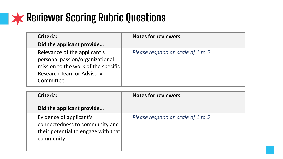

| Criteria: |                                                                                                                                            | <b>Notes for reviewers</b>        |  |
|-----------|--------------------------------------------------------------------------------------------------------------------------------------------|-----------------------------------|--|
|           | Did the applicant provide                                                                                                                  |                                   |  |
| Committee | Relevance of the applicant's<br>personal passion/organizational<br>mission to the work of the specific<br><b>Research Team or Advisory</b> | Please respond on scale of 1 to 5 |  |

| Criteria:                            |                                                                       | <b>Notes for reviewers</b>        |  |
|--------------------------------------|-----------------------------------------------------------------------|-----------------------------------|--|
| Did the applicant provide            |                                                                       |                                   |  |
| Evidence of applicant's<br>community | connectedness to community and<br>their potential to engage with that | Please respond on scale of 1 to 5 |  |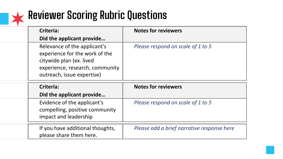

## **Reviewer Scoring Rubric Questions**

| Criteria:<br>Did the applicant provide                                                                                                                      | <b>Notes for reviewers</b>        |
|-------------------------------------------------------------------------------------------------------------------------------------------------------------|-----------------------------------|
| Relevance of the applicant's<br>experience for the work of the<br>citywide plan (ex. lived<br>experience, research, community<br>outreach, issue expertise) | Please respond on scale of 1 to 5 |
|                                                                                                                                                             |                                   |
| Criteria:                                                                                                                                                   | <b>Notes for reviewers</b>        |
| Did the applicant provide                                                                                                                                   |                                   |
| Evidence of the applicant's<br>compelling, positive community<br>impact and leadership                                                                      | Please respond on scale of 1 to 5 |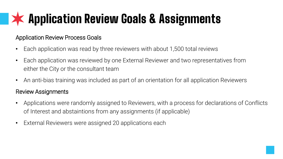## Application Review Goals & Assignments

### Application Review Process Goals

- Each application was read by three reviewers with about 1,500 total reviews
- Each application was reviewed by one External Reviewer and two representatives from either the City or the consultant team
- An anti-bias training was included as part of an orientation for all application Reviewers

### Review Assignments

- Applications were randomly assigned to Reviewers, with a process for declarations of Conflicts of Interest and abstaintions from any assignments (if applicable)
- External Reviewers were assigned 20 applications each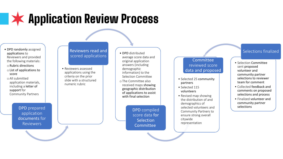### **Application Review Process**

- DPD randomly assigned applications to Reviewers and provided the following materials:
- o Rubric directions
- o List of applications to score
- o All submitted application materials, including a letter of support for Community Partners

DPD prepared application documents for Reviewers

#### Reviewers read and scored applications **• DPD** distributed

• Reviewers assessed applications using the criteria on the prior slide with a structured numeric rubric

- average score data and original application answers (including demographic information) to the Selection Committee oThe Committee also received maps showing
- geographic distribution of applications to assist with final selection

DPD compiled score data for **Selection Committee** 

#### Committee reviewed score data and proposed

 $\mathcal{A}$ 

- Selected 25 community partners  $\overline{\mathbf{S}}$
- Selected 115 volunteers
- Revised map showing the distribution of and demographics of selected volunteers and Community Partners to ensure strong overall citywide representation

#### Selections finalized

- Selection Committee sent proposed volunteer and community partner selections to reviewer team for comment
- Collected feedback and comments on proposed selections and process
- Finalized volunteer and community partner selections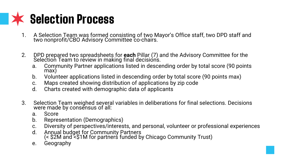### **K** Selection Process

- 1. A Selection Team was formed consisting of two Mayor's Office staff, two DPD staff and two nonprofit/CBO Advisory Committee co-chairs.
- 2. DPD prepared two spreadsheets for **each** Pillar (7) and the Advisory Committee for the Selection Team to review in making final decisions.
	- a. Community Partner applications listed in descending order by total score (90 points max)
	- b. Volunteer applications listed in descending order by total score (90 points max)
	- c. Maps created showing distribution of applications by zip code
	- d. Charts created with demographic data of applicants
- 3. Selection Team weighed several variables in deliberations for final selections. Decisions were made by consĕnsus of all:
	- a. Score
	- b. Representation (Demographics)
	- c. Diversity of perspectives/interests, and personal, volunteer or professional experiences
	- d. Annual budget for Community Partners (< \$2M and <\$1M for partners funded by Chicago Community Trust)
	- e. Geography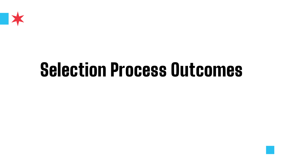

# Selection Process Outcomes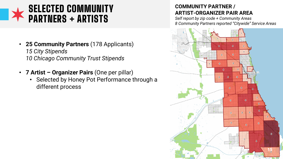### SELECTED COMMUNITY PARTNERS + ARTISTS

- **25 Community Partners** (178 Applicants) *15 City Stipends 10 Chicago Community Trust Stipends*
- **7 Artist – Organizer Pairs** (One per pillar)
	- Selected by Honey Pot Performance through a different process

### **COMMUNITY PARTNER / ARTIST-ORGANIZER PAIR AREA**

*Self report by zip code + Community Areas 8 Community Partners reported "Citywide" Service Areas*